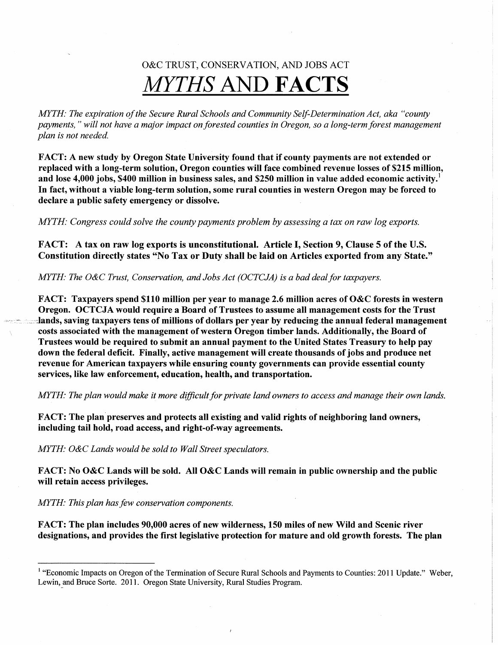# O&C TRUST, CONSERVATION, AND JOBS ACT MYTHS AND FACTS

MYTH: The expiration of the Secure Rural Schools and Community Self-Determination Act, aka "county payments," will not have a major impact on forested counties in Oregon, so a long-term forest management plan is not needed.

FACT: A new study by Oregon State University found that if county payments are not extended or replaced with a long-term solution, Oregon counties will face combined revenue losses of \$215 million, and lose 4,000 jobs, \$400 million in business sales, and \$250 million in value added economic activity.<sup>1</sup> In fact, without a viable long-term solution, some rural counties in western Oregon may be forced to declare a public safety emergency or dissolve.

MYTH: Congress could solve the county payments problem by assessing a tax on raw log exports.

FACT: A tax on raw log exports is unconstitutional. Article I, Section 9, Clause 5 of the U.S. Constitution directly states "No Tax or Duty shall be laid on Articles exported from any State."

MYTH: The O&C Trust, Conservation, and Jobs Act (OCTCJA) is a bad deal for taxpayers.

FACT: Taxpayers spend \$110 million per year to manage 2.6 million acres of O&C forests in western Oregon. OCTCJA would require a Board of Trustees to assume all management costs for the Trust -lands, saving taxpayers tens of millions of dollars per year by reducing the annual federal management costs associated with the management of western Oregon timber lands. Additionally, the Board of Trustees would be required to submit an annual payment to the United States Treasury to help pay down the federal deficit. Finally, active management will create thousands of jobs and produce net revenue for American taxpayers while ensuring county governments can provide essential county services, like law enforcement, education, health, and transportation.

MYTH: The plan would make it more dfficult for private land owners to access and manage their own lands.

FACT: The plan preserves and protects all existing and valid rights of neighboring land owners, including tail hold, road access, and right-of-way agreements.

MYTH: O&C Lands would be sold to Wall Street speculators.

FACT: No O&C Lands will be sold. All O&C Lands will remain in public ownership and the public will retain access privileges.

MYTH: This plan has few conservation components.

FACT: The plan includes 90,000 acres of new wilderness, 150 miles of new Wild and Scenic river designations, and provides the first legislative protection for mature and old growth forests. The plan

<sup>&</sup>lt;sup>1</sup> "Economic Impacts on Oregon of the Termination of Secure Rural Schools and Payments to Counties: 2011 Update." Weber, Lewin, and Bruce Sorte. 2011. Oregon State University, Rural Studies Program.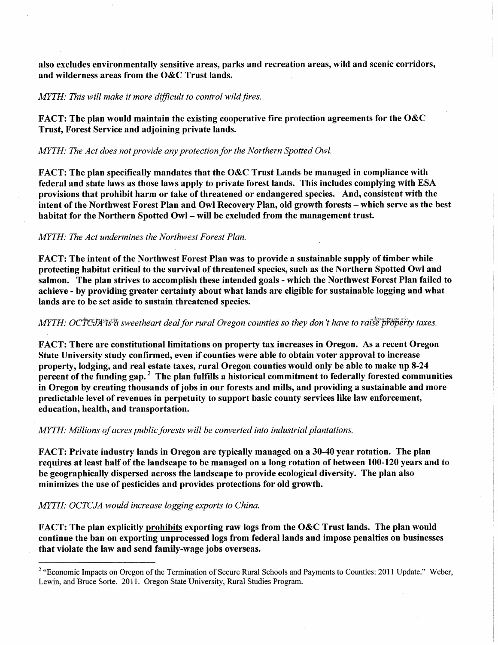also excludes environmentally sensitive areas, parks and recreation areas, wild and scenic corridors, and wilderness areas from the O&C Trust lands.

## MYTH: This will make it more difficult to control wild fires.

FACT: The plan would maintain the existing cooperative fire protection agreements for the O&C Trust, Forest Service and adjoining private lands.

# MYTH: The Act does not provide any protection for the Northern Spotted Owl.

FACT: The plan specifically mandates that the O&C Trust Lands be managed in compliance with federal and state laws as those laws apply to private forest lands. This includes complying with ESA provisions that prohibit harm or take of threatened or endangered species. And, consistenf with the intent of the Northwest Forest Plan and Owl Recovery Plan, old growth forests - which serve as the best habitat for the Northern Spotted Owl – will be excluded from the management trust.

# MYTH: The Act undermines the Northwest Forest Plan.

FACT: The intent of the Northwest Forest Plan was to provide a sustainable supply of timber while protecting habitat critical to the survival of threatened species, such as the Northern Spotted Owl and salmon. The plan strives to accomplish these intended goals - which the Northwest Forest Plan failed to achieve - by providing greater certainty about what lands are eligible for sustainable logging and what lands are to be set aside to sustain threatened species.

## $MYTH$ :  $OCTCJA$ <sup> $35$ </sup> $a$  sweetheart deal for rural Oregon counties so they don't have to raise property taxes.

FACT: There are constitutional limitations on property tax increases in Oregon. As a recent Oregon State University study confirmed, even if counties were able to obtain voter approval to increase property, lodging, and real estate taxes, rural Oregon counties would only be able to make up 8-24 percent of the funding gap.<sup>2</sup> The plan fulfills a historical commitment to federally forested communities in Oregon by creating thousands of jobs in our forests and mills, and providing a sustainable and more predictable level of revenues in perpetuity to support basic county services like law enforcement, education, health, and transportation.

## MYTH: Millions of acres public forests will be converted into industrial plantations.

FACT: Private industry lands in Oregon are typically managed on a 30-40 year rotation. The plan requires at least half of the landscape to be managed on a long rotation of between 100-120 years and to be geographically dispersed across the landscape to provide ecological diversity. The plan also minimizes the use of pesticides and provides protections for old growth.

## MYTH: OCTCJA would increase logging exports to China.

FACT: The plan explicitly prohibits exporting raw logs from the O&C Trust lands. The plan would continue the ban on exporting unprocessed logs from federal lands and impose penalties on businesses that violate the law and send family-wage jobs overseas.

<sup>&</sup>lt;sup>2</sup> "Economic Impacts on Oregon of the Termination of Secure Rural Schools and Payments to Counties: 2011 Update." Weber, Lewin, and Bruce Sorte. 2011. Oregon State University, Rural Studies Program.